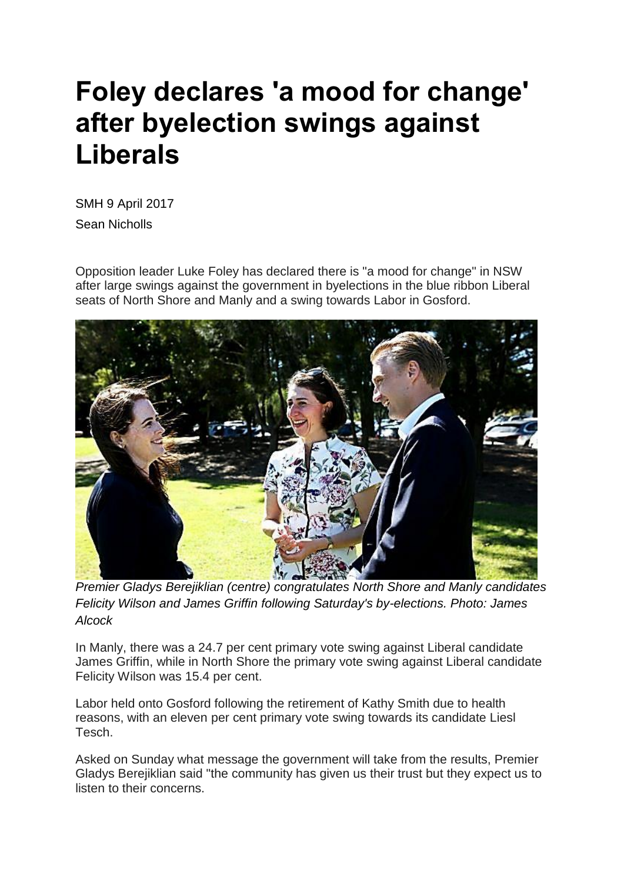## **Foley declares 'a mood for change' after byelection swings against Liberals**

SMH 9 April 2017 Sean Nicholls

Opposition leader Luke Foley has declared there is "a mood for change" in NSW after large swings against the government in byelections in the blue ribbon Liberal seats of North Shore and Manly and a swing towards Labor in Gosford.



*Premier Gladys Berejiklian (centre) congratulates North Shore and Manly candidates Felicity Wilson and James Griffin following Saturday's by-elections. Photo: James Alcock*

In Manly, there was a 24.7 per cent primary vote swing against Liberal candidate James Griffin, while in North Shore the primary vote swing against Liberal candidate Felicity Wilson was 15.4 per cent.

Labor held onto Gosford following the retirement of Kathy Smith due to health reasons, with an eleven per cent primary vote swing towards its candidate Liesl Tesch.

Asked on Sunday what message the government will take from the results, Premier Gladys Berejiklian said "the community has given us their trust but they expect us to listen to their concerns.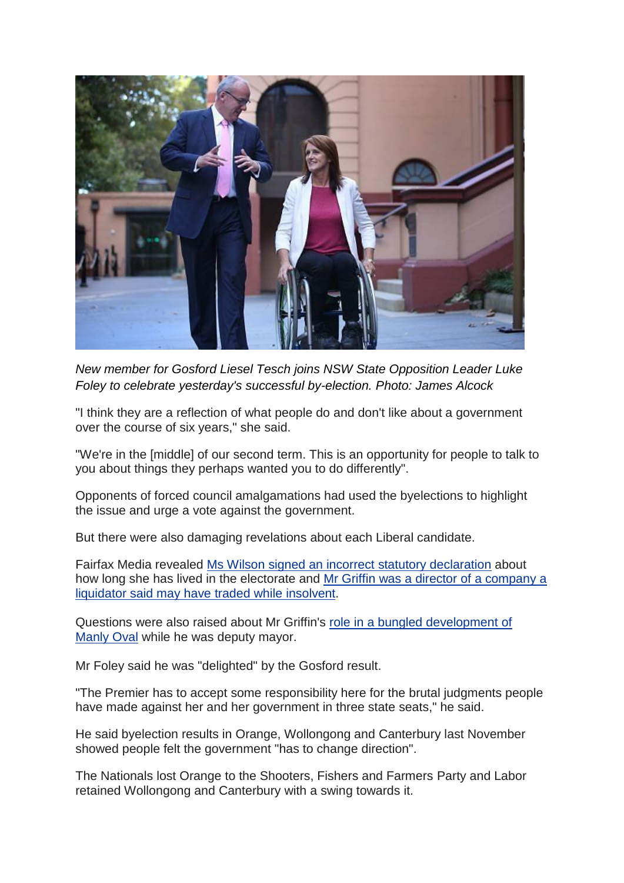

*New member for Gosford Liesel Tesch joins NSW State Opposition Leader Luke Foley to celebrate yesterday's successful by-election. Photo: James Alcock*

"I think they are a reflection of what people do and don't like about a government over the course of six years," she said.

"We're in the [middle] of our second term. This is an opportunity for people to talk to you about things they perhaps wanted you to do differently".

Opponents of forced council amalgamations had used the byelections to highlight the issue and urge a vote against the government.

But there were also damaging revelations about each Liberal candidate.

Fairfax Media revealed Ms Wilson signed an incorrect statutory [declaration](http://www.smh.com.au/nsw/north-shore-liberal-candidate-felicity-wilson-backtracks-on-claim-about-her-link-to-the-seat-20170404-gvd2vf.html) about how long she has lived in the electorate and Mr Griffin was a director of a [company](http://www.smh.com.au/nsw/liberal-candidate-for-manly-james-griffin-may-have-traded-company-while-insolvent-20170330-gvalay.html) a liquidator said may have traded while [insolvent.](http://www.smh.com.au/nsw/liberal-candidate-for-manly-james-griffin-may-have-traded-company-while-insolvent-20170330-gvalay.html)

Questions were also raised about Mr Griffin's role in a bungled [development](http://www.smh.com.au/nsw/candidate-demands-release-of-project-documents-before-manly-byelection-20170326-gv6sf5.html) of [Manly](http://www.smh.com.au/nsw/candidate-demands-release-of-project-documents-before-manly-byelection-20170326-gv6sf5.html) Oval while he was deputy mayor.

Mr Foley said he was "delighted" by the Gosford result.

"The Premier has to accept some responsibility here for the brutal judgments people have made against her and her government in three state seats," he said.

He said byelection results in Orange, Wollongong and Canterbury last November showed people felt the government "has to change direction".

The Nationals lost Orange to the Shooters, Fishers and Farmers Party and Labor retained Wollongong and Canterbury with a swing towards it.